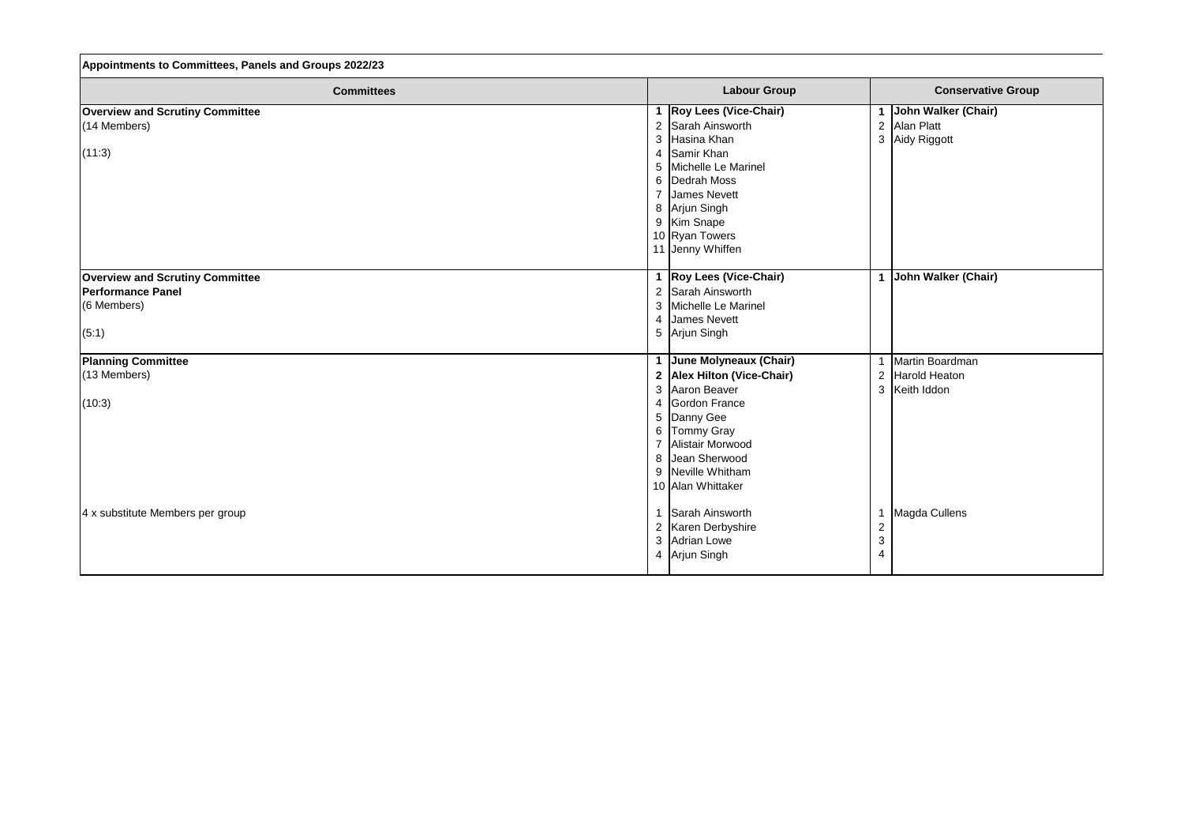| Appointments to Committees, Panels and Groups 2022/23 |                                       |                                 |  |
|-------------------------------------------------------|---------------------------------------|---------------------------------|--|
| <b>Committees</b>                                     | <b>Labour Group</b>                   | <b>Conservative Group</b>       |  |
| <b>Overview and Scrutiny Committee</b>                | 1   Roy Lees (Vice-Chair)             | John Walker (Chair)<br>1        |  |
| $(14$ Members)                                        | Sarah Ainsworth<br>$\overline{2}$     | $\overline{2}$<br>Alan Platt    |  |
|                                                       | Hasina Khan<br>3                      | 3 Aidy Riggott                  |  |
| (11:3)                                                | Samir Khan<br>4                       |                                 |  |
|                                                       | Michelle Le Marinel<br>5              |                                 |  |
|                                                       | Dedrah Moss<br>6                      |                                 |  |
|                                                       | <b>James Nevett</b><br>$\overline{7}$ |                                 |  |
|                                                       | Arjun Singh<br>8                      |                                 |  |
|                                                       | 9 Kim Snape                           |                                 |  |
|                                                       | 10 Ryan Towers                        |                                 |  |
|                                                       | 11 Jenny Whiffen                      |                                 |  |
|                                                       |                                       |                                 |  |
| <b>Overview and Scrutiny Committee</b>                | 1   Roy Lees (Vice-Chair)             | John Walker (Chair)<br>1        |  |
| <b>Performance Panel</b>                              | 2 Sarah Ainsworth                     |                                 |  |
| (6 Members)                                           | Michelle Le Marinel<br>3              |                                 |  |
|                                                       | <b>James Nevett</b><br>$\overline{4}$ |                                 |  |
| (5:1)                                                 | 5 Arjun Singh                         |                                 |  |
|                                                       |                                       |                                 |  |
| <b>Planning Committee</b>                             | 1 June Molyneaux (Chair)              | Martin Boardman<br>$\mathbf{1}$ |  |
| (13 Members)                                          | 2 Alex Hilton (Vice-Chair)            | Harold Heaton<br>$\overline{2}$ |  |
|                                                       | Aaron Beaver<br>3                     | Keith Iddon<br>3                |  |
| (10:3)                                                | Gordon France<br>4                    |                                 |  |
|                                                       | Danny Gee<br>5                        |                                 |  |
|                                                       | <b>Tommy Gray</b><br>6                |                                 |  |
|                                                       | Alistair Morwood<br>$\overline{7}$    |                                 |  |
|                                                       | 8 Jean Sherwood                       |                                 |  |
|                                                       | 9 Neville Whitham                     |                                 |  |
|                                                       | 10 Alan Whittaker                     |                                 |  |
|                                                       |                                       |                                 |  |
| 4 x substitute Members per group                      | 1 Sarah Ainsworth                     | Magda Cullens<br>1              |  |
|                                                       | 2   Karen Derbyshire                  | $\mathbf 2$                     |  |
|                                                       | <b>Adrian Lowe</b><br>3               | $\ensuremath{\mathsf{3}}$       |  |
|                                                       | 4 Arjun Singh                         | 4                               |  |
|                                                       |                                       |                                 |  |

Г

| <b>Conservative Group</b>                                |  |  |
|----------------------------------------------------------|--|--|
| John Walker (Chair)<br><b>Alan Platt</b><br>Aidy Riggott |  |  |
| John Walker (Chair)                                      |  |  |
| Martin Boardman<br><b>Harold Heaton</b><br>Keith Iddon   |  |  |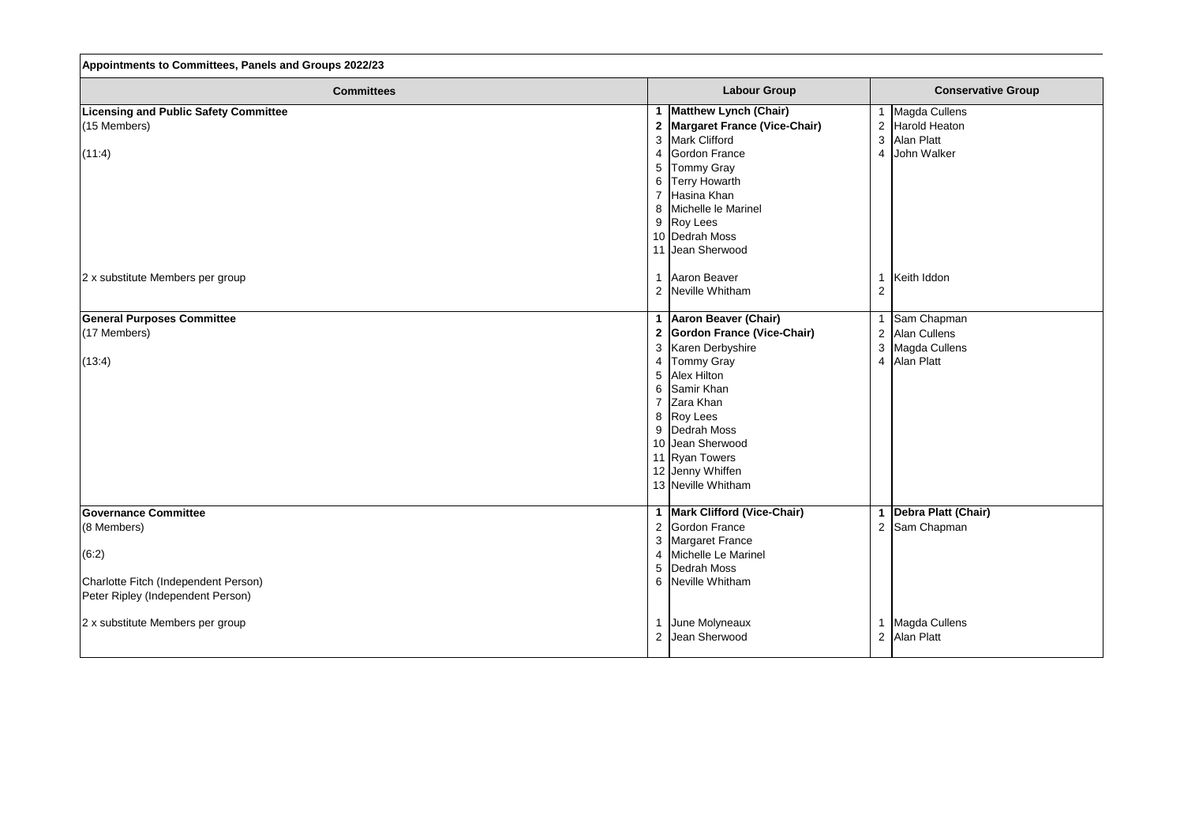| Appointments to Committees, Panels and Groups 2022/23 |                                |                |                |
|-------------------------------------------------------|--------------------------------|----------------|----------------|
| <b>Committees</b>                                     | <b>Labour Group</b>            |                | Conse          |
| <b>Licensing and Public Safety Committee</b>          | 1 Matthew Lynch (Chair)        |                | Magda Cullens  |
| (15 Members)                                          | 2 Margaret France (Vice-Chair) | $\overline{2}$ | Harold Heaton  |
|                                                       | 3 Mark Clifford                | $\mathfrak{B}$ | Alan Platt     |
| (11:4)                                                | Gordon France<br>4             | $\overline{4}$ | John Walker    |
|                                                       | <b>Tommy Gray</b><br>5         |                |                |
|                                                       | <b>Terry Howarth</b><br>6      |                |                |
|                                                       | 7 Hasina Khan                  |                |                |
|                                                       | 8 Michelle le Marinel          |                |                |
|                                                       | 9 Roy Lees                     |                |                |
|                                                       | 10 Dedrah Moss                 |                |                |
|                                                       | 11 Jean Sherwood               |                |                |
| 2 x substitute Members per group                      | Aaron Beaver                   | -1             | Keith Iddon    |
|                                                       | 2 Neville Whitham              | $\overline{2}$ |                |
| <b>General Purposes Committee</b>                     | 1   Aaron Beaver (Chair)       | -1             | Sam Chapman    |
| (17 Members)                                          | 2 Gordon France (Vice-Chair)   | $\overline{2}$ | Alan Cullens   |
|                                                       | 3 Karen Derbyshire             | $\sqrt{3}$     | Magda Cullens  |
| (13:4)                                                | Tommy Gray<br>4                | $\overline{4}$ | Alan Platt     |
|                                                       | <b>Alex Hilton</b><br>5        |                |                |
|                                                       | 6 Samir Khan                   |                |                |
|                                                       | Zara Khan<br>$\overline{7}$    |                |                |
|                                                       | 8 Roy Lees                     |                |                |
|                                                       | Dedrah Moss<br>9               |                |                |
|                                                       | 10 Jean Sherwood               |                |                |
|                                                       | 11 Ryan Towers                 |                |                |
|                                                       | 12 Jenny Whiffen               |                |                |
|                                                       | 13 Neville Whitham             |                |                |
| <b>Governance Committee</b>                           | 1   Mark Clifford (Vice-Chair) |                | Debra Platt (C |
| (8 Members)                                           | 2 Gordon France                | $\overline{2}$ | Sam Chapman    |
|                                                       | 3 Margaret France              |                |                |
| (6:2)                                                 | Michelle Le Marinel            |                |                |
|                                                       | 5 Dedrah Moss                  |                |                |
| Charlotte Fitch (Independent Person)                  | 6 Neville Whitham              |                |                |
| Peter Ripley (Independent Person)                     |                                |                |                |
| 2 x substitute Members per group                      | June Molyneaux                 |                | Magda Cullens  |
|                                                       | 2 Jean Sherwood                |                | 2 Alan Platt   |
|                                                       |                                |                |                |

## **Conservative Group**

Magda Cullens<br>Alan Platt

**Jebra Platt (Chair)**<br>Sam Chapman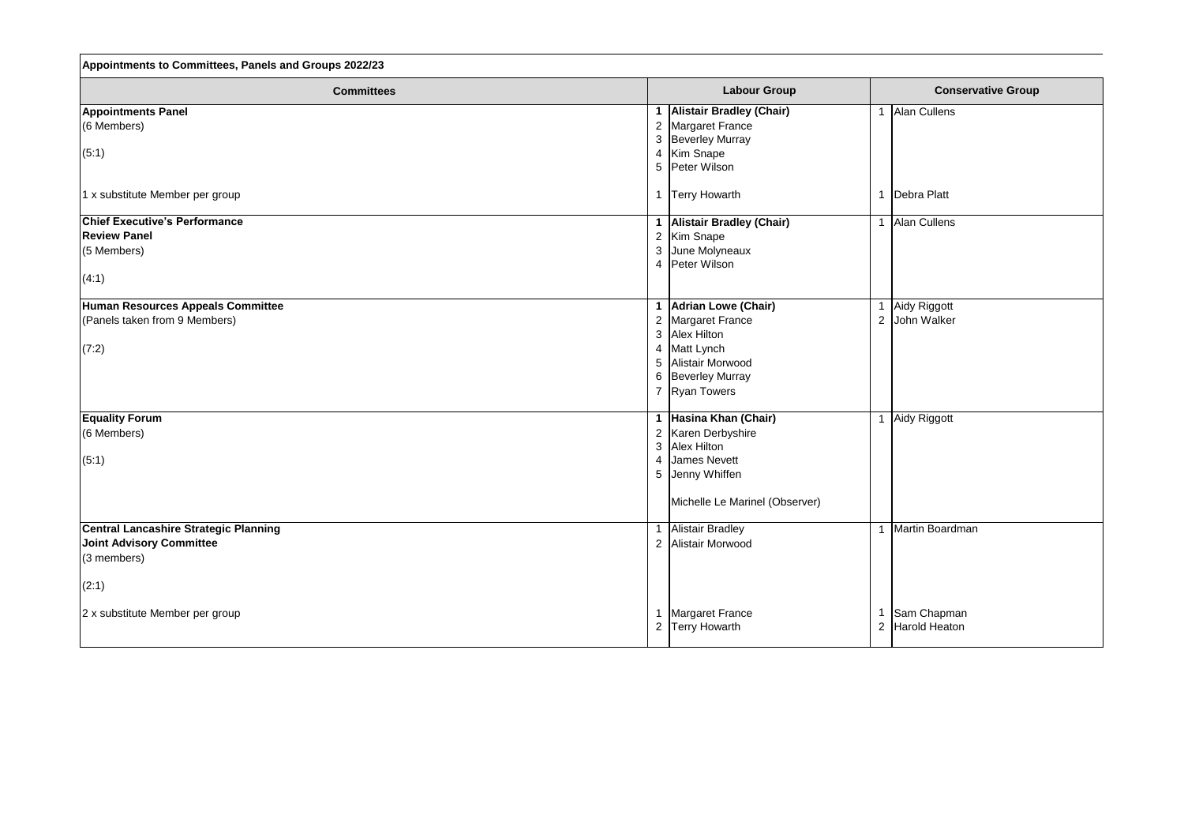| Appointments to Committees, Panels and Groups 2022/23                                                                                 |                                                                                                                                                                                    |                                                                   |  |
|---------------------------------------------------------------------------------------------------------------------------------------|------------------------------------------------------------------------------------------------------------------------------------------------------------------------------------|-------------------------------------------------------------------|--|
| <b>Committees</b>                                                                                                                     | <b>Labour Group</b>                                                                                                                                                                | <b>Conservative Group</b>                                         |  |
| <b>Appointments Panel</b><br>(6 Members)<br>(5:1)<br>1 x substitute Member per group                                                  | <b>Alistair Bradley (Chair)</b><br>Margaret France<br>$\overline{2}$<br>3<br><b>Beverley Murray</b><br>Kim Snape<br>4<br>5 Peter Wilson<br><b>Terry Howarth</b>                    | Alan Cullens<br>-1<br>Debra Platt                                 |  |
| <b>Chief Executive's Performance</b><br><b>Review Panel</b><br>(5 Members)<br>(4:1)                                                   | <b>Alistair Bradley (Chair)</b><br>Kim Snape<br>$\overline{2}$<br>June Molyneaux<br>3<br>Peter Wilson<br>4                                                                         | Alan Cullens                                                      |  |
| Human Resources Appeals Committee<br>(Panels taken from 9 Members)<br>(7:2)                                                           | <b>Adrian Lowe (Chair)</b><br>Margaret France<br>$\overline{2}$<br>3 Alex Hilton<br>Matt Lynch<br>4<br>Alistair Morwood<br>$5\phantom{.0}$<br>6 Beverley Murray<br>7 Ryan Towers   | Aidy Riggott<br>2 John Walker                                     |  |
| <b>Equality Forum</b><br>(6 Members)<br>(5:1)                                                                                         | Hasina Khan (Chair)<br>Karen Derbyshire<br>$\overline{2}$<br>$\mathfrak{B}$<br><b>Alex Hilton</b><br><b>James Nevett</b><br>4<br>5 Jenny Whiffen<br>Michelle Le Marinel (Observer) | Aidy Riggott                                                      |  |
| Central Lancashire Strategic Planning<br><b>Joint Advisory Committee</b><br>$(3$ members)<br>(2:1)<br>2 x substitute Member per group | <b>Alistair Bradley</b><br>2 Alistair Morwood<br><b>Margaret France</b><br><b>Terry Howarth</b><br>$\overline{2}$                                                                  | Martin Boardman<br>Sam Chapman<br>Harold Heaton<br>$\overline{2}$ |  |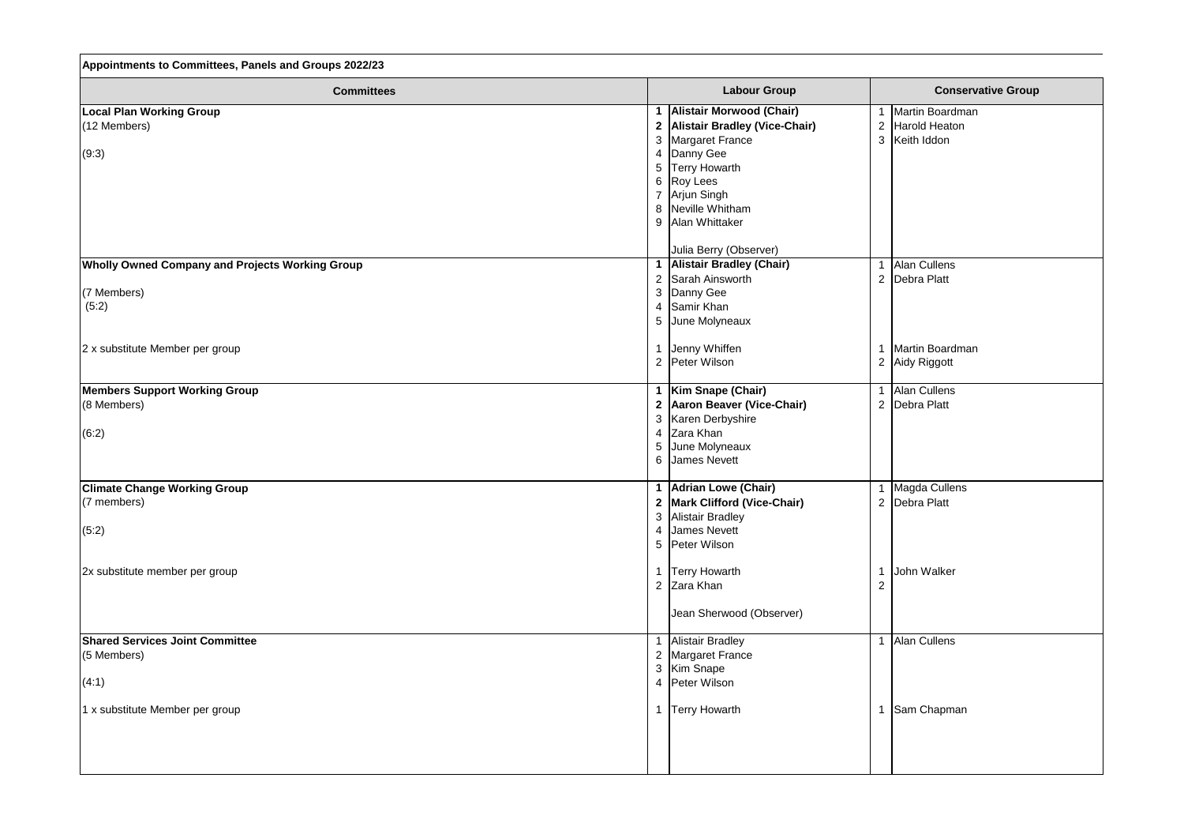| Appointments to Committees, Panels and Groups 2022/23  |                                  |                |                           |
|--------------------------------------------------------|----------------------------------|----------------|---------------------------|
| <b>Committees</b>                                      | <b>Labour Group</b>              |                | <b>Conservative Group</b> |
| <b>Local Plan Working Group</b>                        | <b>Alistair Morwood (Chair)</b>  | 1              | Martin Boardman           |
| $(12$ Members)                                         | 2 Alistair Bradley (Vice-Chair)  | 2              | <b>Harold Heaton</b>      |
|                                                        | 3 Margaret France                | 3              | Keith Iddon               |
| (9:3)                                                  | 4 Danny Gee                      |                |                           |
|                                                        | <b>Terry Howarth</b><br>5        |                |                           |
|                                                        | 6 Roy Lees                       |                |                           |
|                                                        | 7 Arjun Singh                    |                |                           |
|                                                        | 8 Neville Whitham                |                |                           |
|                                                        | 9 Alan Whittaker                 |                |                           |
|                                                        | Julia Berry (Observer)           |                |                           |
| <b>Wholly Owned Company and Projects Working Group</b> | 1 Alistair Bradley (Chair)       | 1              | Alan Cullens              |
|                                                        | 2 Sarah Ainsworth                | 2              | Debra Platt               |
| (7 Members)                                            | 3 Danny Gee                      |                |                           |
| (5:2)                                                  | 4 Samir Khan                     |                |                           |
|                                                        | 5 June Molyneaux                 |                |                           |
| 2 x substitute Member per group                        | 1 Jenny Whiffen                  | 1              | Martin Boardman           |
|                                                        | 2 Peter Wilson                   | $\overline{2}$ | Aidy Riggott              |
| <b>Members Support Working Group</b>                   | 1   Kim Snape (Chair)            | $\mathbf{1}$   | Alan Cullens              |
| (8 Members)                                            | 2 Aaron Beaver (Vice-Chair)      | 2              | Debra Platt               |
|                                                        | 3 Karen Derbyshire               |                |                           |
| (6:2)                                                  | Zara Khan<br>$4 \cdot$           |                |                           |
|                                                        | June Molyneaux<br>5 <sup>5</sup> |                |                           |
|                                                        | 6 James Nevett                   |                |                           |
| <b>Climate Change Working Group</b>                    | 1   Adrian Lowe (Chair)          |                | 1 Magda Cullens           |
| $(7$ members)                                          | 2 Mark Clifford (Vice-Chair)     |                | 2 Debra Platt             |
|                                                        | 3 Alistair Bradley               |                |                           |
| (5:2)                                                  | 4 James Nevett                   |                |                           |
|                                                        | 5 Peter Wilson                   |                |                           |
| 2x substitute member per group                         | 1   Terry Howarth                | 1              | John Walker               |
|                                                        | 2 Zara Khan                      | 2              |                           |
|                                                        | Jean Sherwood (Observer)         |                |                           |
| <b>Shared Services Joint Committee</b>                 | 1 Alistair Bradley               | $\mathbf{1}$   | Alan Cullens              |
| $(5$ Members)                                          | 2 Margaret France                |                |                           |
|                                                        | 3 Kim Snape                      |                |                           |
| (4:1)                                                  | 4 Peter Wilson                   |                |                           |
| 1 x substitute Member per group                        | 1 Terry Howarth                  | 1              | Sam Chapman               |
|                                                        |                                  |                |                           |
|                                                        |                                  |                |                           |
|                                                        |                                  |                |                           |

| <b>Conservative Group</b>                              |  |
|--------------------------------------------------------|--|
| Martin Boardman<br><b>Harold Heaton</b><br>Keith Iddon |  |
| <b>Alan Cullens</b><br><b>Debra Platt</b>              |  |
| Martin Boardman<br>Aidy Riggott                        |  |
| <b>Alan Cullens</b><br><b>Debra Platt</b>              |  |
| Magda Cullens<br><b>Debra Platt</b>                    |  |
| John Walker                                            |  |
| <b>Alan Cullens</b>                                    |  |